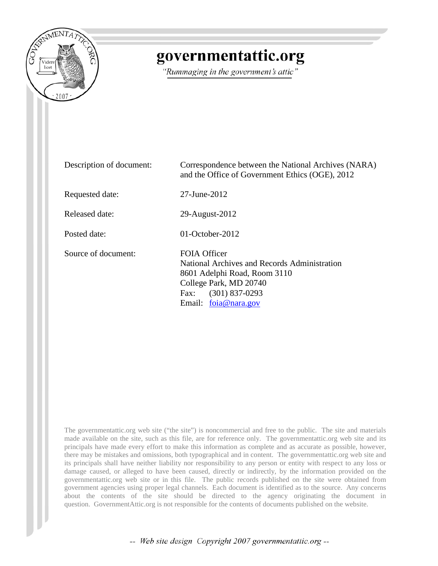

# governmentattic.org

"Rummaging in the government's attic"

| Description of document: | Correspondence between the National Archives (NARA)<br>and the Office of Government Ethics (OGE), 2012                                                                              |
|--------------------------|-------------------------------------------------------------------------------------------------------------------------------------------------------------------------------------|
| Requested date:          | 27-June-2012                                                                                                                                                                        |
| Released date:           | 29-August-2012                                                                                                                                                                      |
| Posted date:             | $01$ -October-2012                                                                                                                                                                  |
| Source of document:      | <b>FOIA Officer</b><br>National Archives and Records Administration<br>8601 Adelphi Road, Room 3110<br>College Park, MD 20740<br>$(301)$ 837-0293<br>Fax:<br>Email: $foia@nara.gov$ |

The governmentattic.org web site ("the site") is noncommercial and free to the public. The site and materials made available on the site, such as this file, are for reference only. The governmentattic.org web site and its principals have made every effort to make this information as complete and as accurate as possible, however, there may be mistakes and omissions, both typographical and in content. The governmentattic.org web site and its principals shall have neither liability nor responsibility to any person or entity with respect to any loss or damage caused, or alleged to have been caused, directly or indirectly, by the information provided on the governmentattic.org web site or in this file. The public records published on the site were obtained from government agencies using proper legal channels. Each document is identified as to the source. Any concerns about the contents of the site should be directed to the agency originating the document in question. GovernmentAttic.org is not responsible for the contents of documents published on the website.

-- Web site design Copyright 2007 governmentattic.org --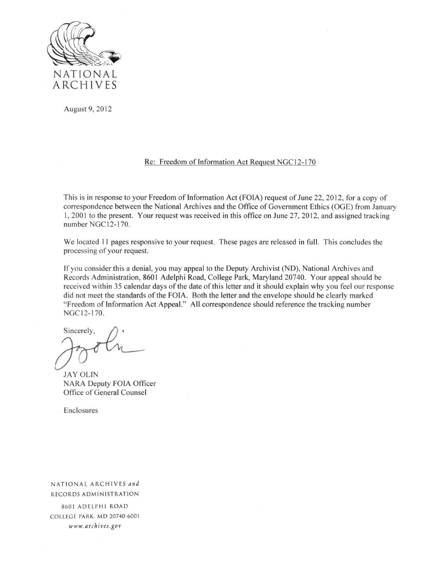

August 9, 2012

#### Re: Freedom of Information Act Request NGC 12-170

This is in response to your Freedom of Information Act (FOIA) request of June 22, 2012, for a copy of correspondence between the National Archives and the Office of Government Ethics (OGE) from January 1, 2001 to the present. Your request was received in this office on June 27, 2012, and assigned tracking number NGC12-170.

We located II pages responsive to your request. These pages are released in full. This concludes the processing of your request.

If you consider this a denial, you may appeal to the Deputy Archivist (NO), National Archives and Records Administration, 8601 Adelphi Road, College Park, Maryland 20740. Your appeal should be received within 35 calendar days of the date of this letter and it should explain why you feel our response did not meet the standards of the FOJA. Both the letter and the envelope should be clearly marked "Freedom of Information Act Appeal." All correspondence should reference the tracking number NGCI2-170.

Sincerely,

JAY OLIN NARA Deputy FOlA Officer Office of General Counsel

Enclosures

NATIONAL ARC HIV ES *and*  RECORDS ADMINISTRATION

8601 ADELPHI ROAD COLLEGE PARK. MD 20740-6001 www. *arch ives.gov*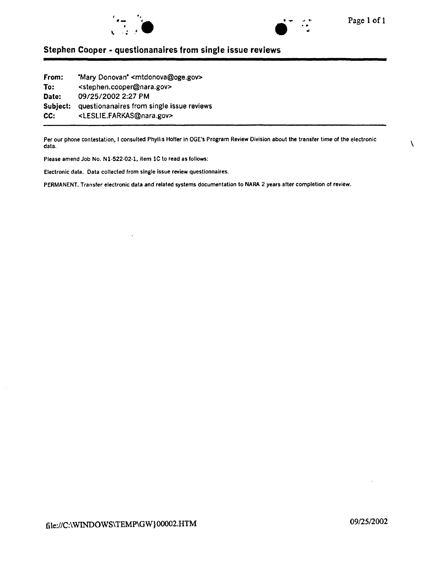



 $\lambda$ 

## **Stephen Cooper • questionanaires from single issue reviews**

**from: To: Date: Subject:**  questionanaires from single issue reviews **CC:**  "Mary Donovan" <mtdonova@oge.gov> <stephen.cooper@nara.gov> 09/25/2002 2:27 PM <LESLIE.FARKAS@nara.gov>

Per our phone contestation, I consulted Phyllis Hoffer in OGE's Program Review Division about the transfer time of the electronic data.

Please amend Job No. N1·522·02·1, item lC to read as follows:

Electronic data. Data collected from single issue review questionnaires.

PERMANENT. Transfer electronic data and related systems documentation to NARA 2 years after completion of review.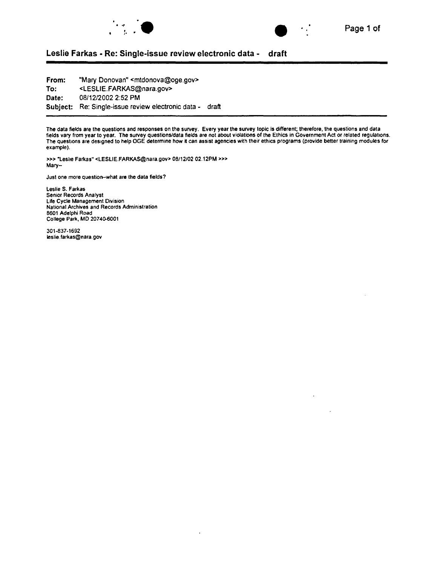



### **Leslie Farkas • Re: Single-issue review electronic data • draft**

**From: To: Date: Subject:**  Re: Single-issue review electronic data • draft "Mary Donovan" <mtdonova@oge.gov> <LESLIE.FARKAS@nara.gov> 08/12/2002 2:52PM

The data fields are the questions and responses on the survey. Every year the survey topic is different; therefore, the questions and data fields vary from year to year. The survey questions/data fields are not about violations of the Ethics in Government Act or related regulations. The questions are designed to help OGE determine how it can assist agencies with their ethics programs (provide better training modules for example).

»>"Leslie Farkas" <LESLIE.FARKAS@nara.gov> 08/12/02 02.12PM >» Mary-

Just one more question-what are the data fields?

Leslie S. Farkas Senior Records Analyst Life Cycle Management Division National Archives and Records Administration 8601 Adelphi Road College Park, MD 20740.6001

301-837-1692 leslie.farkas@nara.gov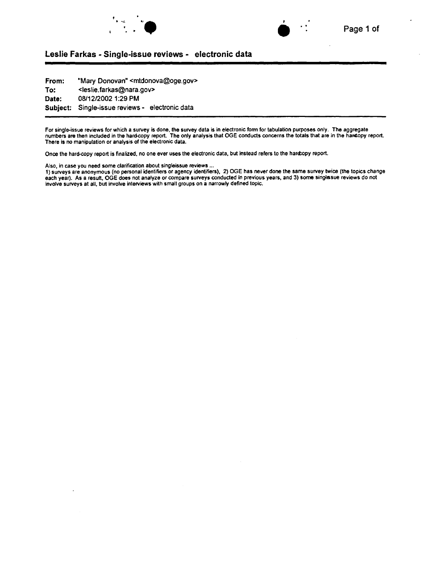



#### Leslie Farkas -Single-issue reviews - electronic data

From: To: Date: Subject: "Mary Donovan" <mtdonova@oge.gov> <leslie. farkas@nara.gov> 08/12/2002 1:29 PM Single-issue reviews- electronic data

For single-issue reviews for which a survey is done, the survey data is in electronic form for tabulation purposes only. The aggregate numbers are then included in the hard-copy report. The only analysis that OGE conducts concerns the totals that are in the haf4opy report. There is no manipulation or analysis of the electronic data.

Once the hard-copy report is finalized, no one ever uses the electronic data, but instead refers to the hard:opy report.

Also, in case you need some clarification about singleissue reviews ...

1} surveys are anonymous (no personal identifiers or agency identifiers), 2) OGE has never done the same survey twice (the topics change each year). As a result, OGE does not analyze or compare surveys conducted in previous years, and 3) some singlasue reviews do not involve surveys at all, but involve interviews with small groups on a narrowly defined topic.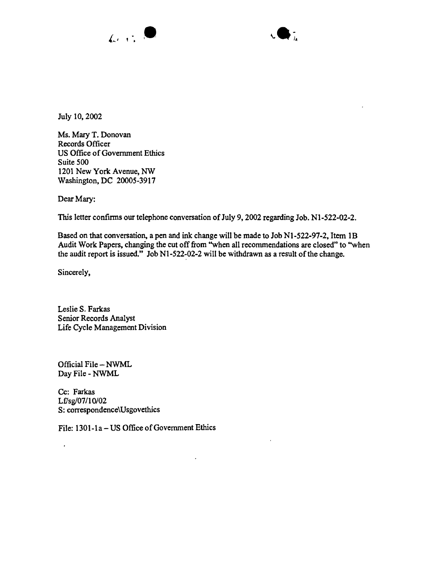



July 10, 2002

Ms. Mary T. Donovan Records Officer US Office of Government Ethics Suite 500 1201 New York Avenue, NW Washington, DC 20005-3917

Dear Mary:

This letter confinns our telephone conversation of July 9, 2002 regarding Job. N1-522-02-2.

Based on that conversation, a pen and ink change will be made to Job N1-522-97-2, Item 1B Audit Work Papers, changing the cut off from ''when all recommendations are closed" to ''when the audit report is issued." Job N1-522-02-2 will be withdrawn as a result of the change.

Sincerely,

 $\ddot{\phantom{a}}$ 

Leslie S. Farkas Senior Records Analyst Life Cycle Management Division

Official File- NWML Day File - NWML

Cc: Farkas Lf/sg/07/10/02 S: correspondence\Usgovethics

File: 1301-1a – US Office of Government Ethics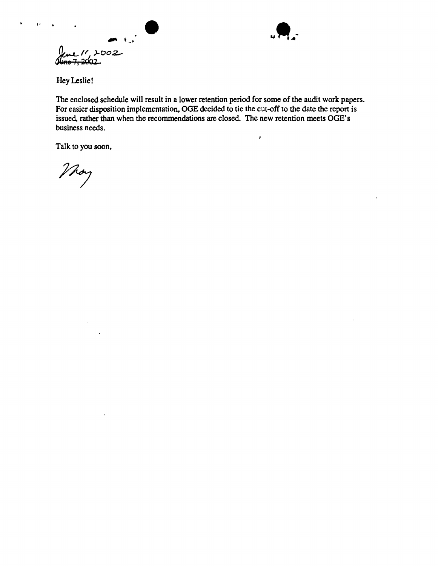$\int_{\mathbb{R}}$  ,  $\int_{\mathbb{R}}$  ,  $\int_{\mathbb{R}}$  ,  $\int_{\mathbb{R}}$  ,  $\int_{\mathbb{R}}$  ,  $\int_{\mathbb{R}}$  ,  $\int_{\mathbb{R}}$  ,  $\int_{\mathbb{R}}$  ,  $\int_{\mathbb{R}}$  ,  $\int_{\mathbb{R}}$  ,  $\int_{\mathbb{R}}$  ,  $\int_{\mathbb{R}}$  ,  $\int_{\mathbb{R}}$  ,  $\int_{\mathbb{R}}$  ,  $\int_{\mathbb{R}}$  ,  $\int_{\mathbb{R}}$  $44n<sup>2</sup>$ 



 $\pmb{\cdot}$ 

Hey Leslie!

 $\ddot{v}$ 

The enclosed schedule will result in a lower retention period for some of the audit work papers. For easier disposition implementation, OGE decided to tie the cut-off to the date the report is issued, rather than when the recommendations are closed. The new retention meets OGE's business needs.

Talk to you soon,

Vhoy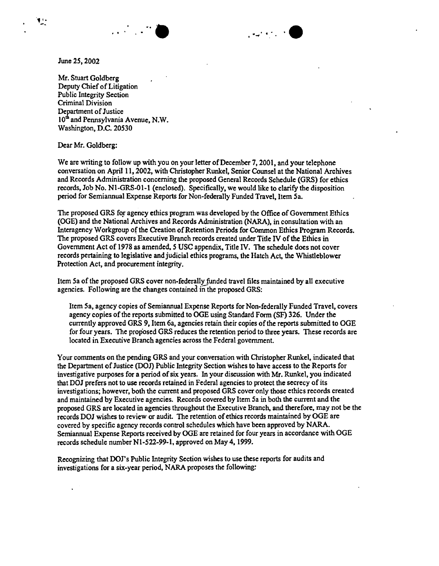

 $\cdot$  .  $\cdot$  expansion  $\cdot$ 

June *25,* 2002

., .. -.

> Mr. Stuart Goldberg Deputy Chief of Litigation Public Integrity Section Criminal Division Department of Justice 10<sup>th</sup> and Pennsylvania Avenue, N.W. Washington, D.C. 20530

Dear Mr. Goldberg:

We are writing to follow up with you on your letter of December 7, 2001, and your telephone conversation on April11, 2002, with Christopher Runkel, Senior Counsel at the National Archives and Records Administration concerning the proposed General Records Schedule (GRS) for ethics records, Job No. Nl-GRS-01-1 (enclosed). Specifically, we would like to clarify the disposition period for Semiannual Expense Reports for Non-federally Funded Travel, Item Sa.

The proposed GRS for agency ethics program was developed by the Office of Government Ethics (OGE) and the National Archives and Records Administration (NARA), in consultation with an Interagency Workgroup of the Creation of Retention Periods for Common Ethics Program Records. The proposed GRS covers Executive Branch records created under Title IV of the Ethics in Government Act of 1978 as amended, *S* USC appendix, Title IV. The schedule does not cover records pertaining to legislative and judicial ethics programs, the Hatch Act, the Whistleblower Protection Act, and procurement integrity.

Item Sa of the proposed GRS cover non-federally funded travel files maintained by all executive agencies. Following are the changes contained in the proposed GRS:

Item Sa, agency copies of Semiannual Expense Reports for Non-federally Funded Travel, covers agency copies of the reports submitted to OGE using Standard Form (SF) 326. Under the currently approved GRS 9, Item 6a, agencies retain their copies of the reports submitted to OGE for four years. The proposed GRS reduces the retention period to three years. These records are located in Executive Branch agencies across the Federal government.

Your comments on the pending GRS and your conversation with Christopher Runkel, indicated that the Department of Justice (DOJ) Public Integrity Section wishes to have access to the Reports for investigative purposes for a period of six years. In your discussion with Mr. Runkel, you indicated that DOJ prefers not to usc records retained in Federal agencies to protect the secrecy of its investigations; however, both the current and proposed GRS cover only those ethics records created and maintained by Executive agencies. Records covered by Item Sa in both the current and the proposed GRS are located in agencies throughout the Executive Branch, and therefore, may not be the records DOJ wishes to review or audit. The retention of ethics records maintained by OGE are covered by specific agency records control schedules which have been approved by NARA. Semiannual Expense Reports received by OGE are retained for four years in accordance with OGE records schedule number N1-522-99-1, approved on May 4, 1999.

Recognizing that DOJ's Public Integrity Section wishes to use these reports for audits and investigations for a six-year period, NARA proposes the following: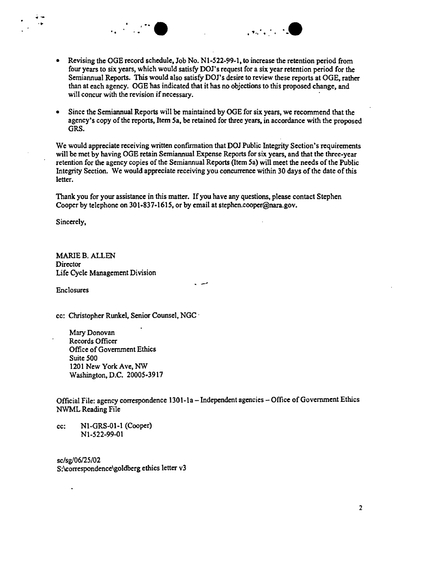

.. ·- ... . . . . .. a .. - . "-·." . ·--

• Since the Semiannual Reports will be maintained by OGE for six years, we recommend that the agency's copy of the reports, Item Sa, be retained for three years, in accordance with the proposed GRS.

We would appreciate receiving written confirmation that DOJ Public Integrity Section's requirements will be met by having OGE retain Semiannual Expense Reports for six years, and that the three-year retention for the agency copies of the Semiannual Reports (Item Sa) will meet the needs of the Public Integrity Section. We would appreciate receiving you concurrence within 30 days of the date of this letter.

Thank you for your assistance in this matter. If you have any questions, please contact Stephen Cooper by telephone on 301-837-161S, or by email at stephen.cooper@nara.gov.

Sincerely,

MARIE B. ALLEN **Director** Life Cycle Management Division

Enclosures . -·

cc: Christopher Runkel, Senior Counsel, NGC ·

Mary Donovan Records Officer Office of Government Ethics Suite SOO 1201 New York Ave, NW Washington, D.C. 2000S-3917

Official File: agency correspondence 1301-1a - Independent agencies - Office of Government Ethics NWML Reading File

cc: N1-GRS-01-1 (Cooper) N1-S22-99-01

sc/sg/06/25/02 S:\correspondence\goldberg ethics letter v3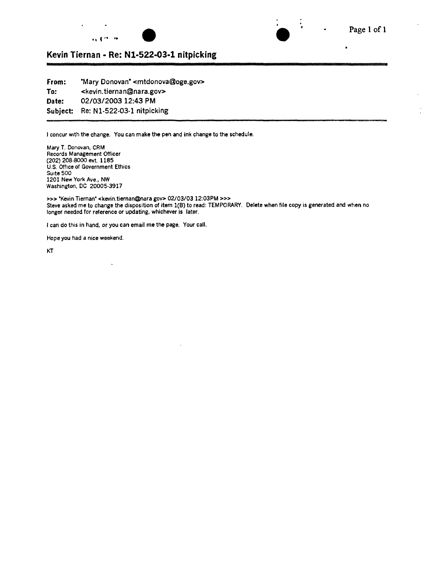



 $\ddot{\cdot}$ 

## **Kevin Tiernan • Re: Nl-522-03-1 nitpicking**

**From: To: Date: Subject:**  'Mary Donovan' <mtdonova@oge.goV> <kevin. tierna n@nara.gov> 02/03/2003 12:43 PM Re: N1-522-03-1 nitpicking

I concur with the change. You can make the pen and ink change to the schedule.

Mary T. Donovan, CRM Records Management Officer (202) 208-8000 ext. 1185 U.S. Office of Government Ethics Suite 500 1201 New York Ave., NW Washington, DC 20005-3917

>>>'Kevin Tiernan' <kevin.tiernan@nara gov> 02/03/03 12:03PM >>> Steve asked me to change the disposition of item 1(8) to read: TEMPORARY. Delete when file copy is generated and when no longer needed for reference or updating, whichever is later.

I can do this in hand, or you can email me the page. Your call.

 $\ddot{\phantom{0}}$ 

Hope you had a nice weekend.

KT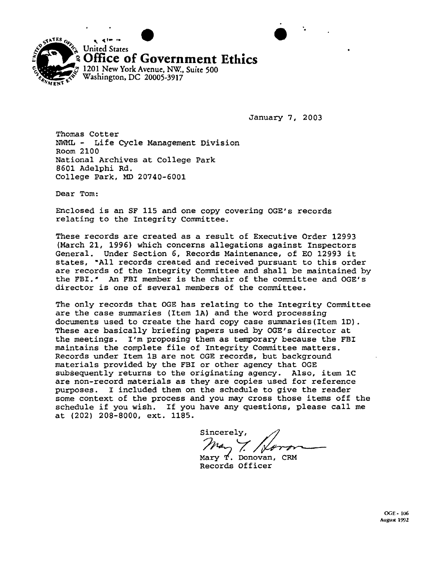

January 7, 2003

·.

Thomas Cotter NWML - Life Cycle Management Division Room 2100 National Archives at College Park 8601 Adelphi Rd. College Park, MD 20740-6001

Dear Tom:

Enclosed is an SF 115 and one copy covering OGE's records relating to the Integrity Committee.

These records are created as a result of Executive Order 12993 (March 21, 1996) which concerns allegations against Inspectors General. Under Section 6, Records Maintenance, of EO 12993 it states, ~All records created and received pursuant to this order are records of the Integrity Committee and shall be maintained by the FBI.• An FBI member is the chair of the committee and OGE's director is one of several members of the committee.

The only records that OGE has relating to the Integrity Committee are the case summaries (Item 1A) and the word processing documents used to create the hard copy case summaries(Item 1D). These are basically briefing papers used by OGE's director at the meetings. I'm proposing them as temporary because the FBI maintains the complete file of Integrity Committee matters. Records under Item 1B are not OGE records, but background materials provided by the FBI or other agency that OGE subsequently returns to the originating agency. Also, item 1C are non-record materials as they are copies used for reference purposes. I included them on the schedule to give the reader some context of the process and you may cross those items off the schedule if you wish. If you have any questions, please call me at (202) 208-8000, ext. 1185.

Sincerely, SINCETELY,<br> $m_{\alpha}$ ,  $\sqrt{\gamma_{\alpha}}$ <br>Mary T. Donovan, CRM

Records Officer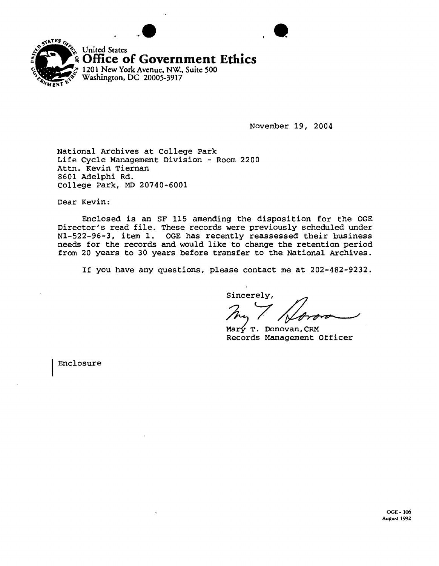

November 19, 2004

National Archives at College Park Life Cycle Management Division - Room 2200 Attn. Kevin Tiernan 8601 Adelphi Rd. College Park, MD 20740-6001

Dear Kevin:

Enclosed *is* an SF 115 amending the disposition for the OGE Director's read file. These records were previously scheduled under N1-522-96-3, item 1. OGE has recently reassessed their business needs for the records and would like to change the retention period from 20 years to 30 years before transfer to the National Archives.

If you have any questions, please contact me at 202-482-9232.

Sincerely,

Mary T. Donovan, CRM Records Management Officer

Enclosure